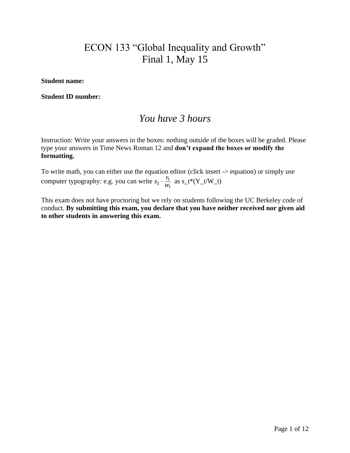# ECON 133 "Global Inequality and Growth" Final 1, May 15

#### **Student name:**

#### **Student ID number:**

## *You have 3 hours*

Instruction: Write your answers in the boxes: nothing outside of the boxes will be graded. Please type your answers in Time News Roman 12 and **don't expand the boxes or modify the formatting.**

To write math, you can either use the equation editor (click insert -> equation) or simply use computer typography: e.g. you can write  $s_t \cdot \frac{Y_t}{W_t}$  $\frac{r_t}{w_t}$  as s\_t\*(Y\_t/W\_t)

This exam does not have proctoring but we rely on students following the UC Berkeley code of conduct. **By submitting this exam, you declare that you have neither received nor given aid to other students in answering this exam.**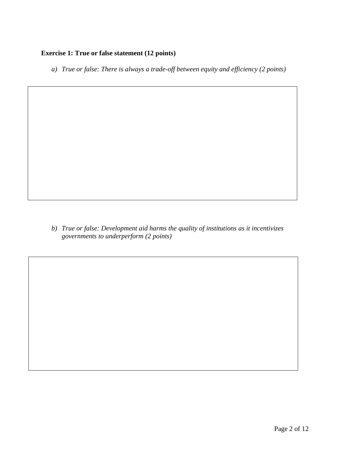#### **Exercise 1: True or false statement (12 points)**

*a) True or false: There is always a trade-off between equity and efficiency (2 points)*

*b) True or false: Development aid harms the quality of institutions as it incentivizes governments to underperform (2 points)*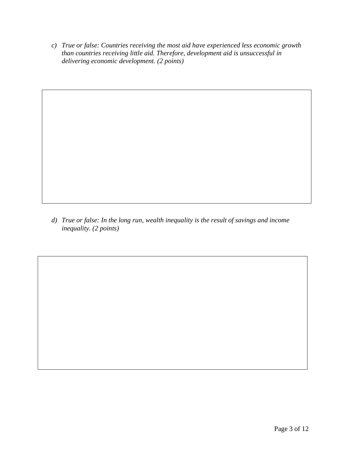*c) True or false: Countries receiving the most aid have experienced less economic growth than countries receiving little aid. Therefore, development aid is unsuccessful in delivering economic development. (2 points)*

*d) True or false: In the long run, wealth inequality is the result of savings and income inequality. (2 points)*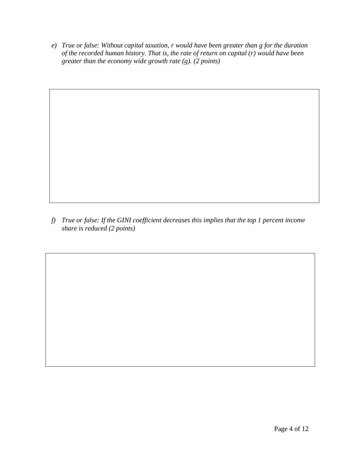*e) True or false: Without capital taxation, r would have been greater than g for the duration of the recorded human history. That is, the rate of return on capital (r) would have been greater than the economy wide growth rate (g). (2 points)*

*f) True or false: If the GINI coefficient decreases this implies that the top 1 percent income share is reduced (2 points)*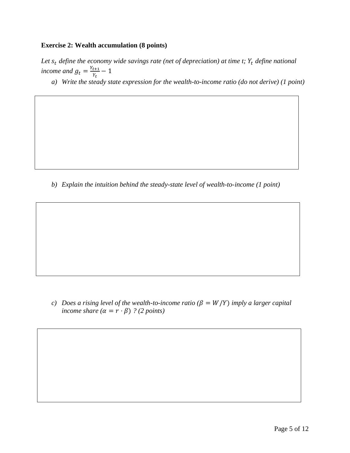#### **Exercise 2: Wealth accumulation (8 points)**

Let  $s_t$  define the economy wide savings rate (net of depreciation) at time t;  $Y_t$  define national *income and*  $g_t = \frac{Y_{t+1}}{Y_t}$  $\frac{t+1}{Y_t} - 1$ 

*a) Write the steady state expression for the wealth-to-income ratio (do not derive) (1 point)*

*b) Explain the intuition behind the steady-state level of wealth-to-income (1 point)*

*c)* Does a rising level of the wealth-to-income ratio  $(\beta = W/Y)$  imply a larger capital *income share*  $(\alpha = r \cdot \beta)$  *? (2 points)*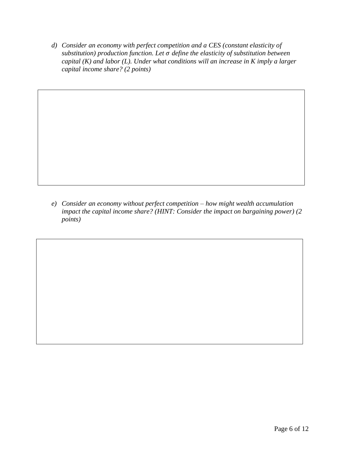*d) Consider an economy with perfect competition and a CES (constant elasticity of substitution) production function. Let define the elasticity of substitution between capital (K) and labor (L). Under what conditions will an increase in K imply a larger capital income share? (2 points)*

*e) Consider an economy without perfect competition – how might wealth accumulation impact the capital income share? (HINT: Consider the impact on bargaining power) (2 points)*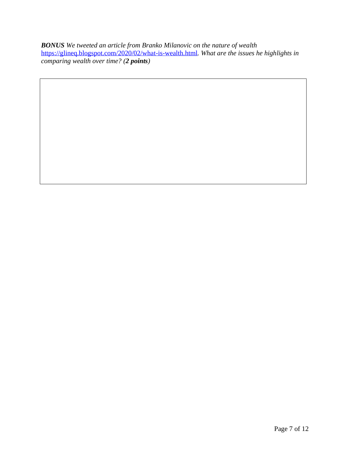*BONUS We tweeted an article from Branko Milanovic on the nature of wealth*  <https://glineq.blogspot.com/2020/02/what-is-wealth.html>*. What are the issues he highlights in comparing wealth over time? (2 points)*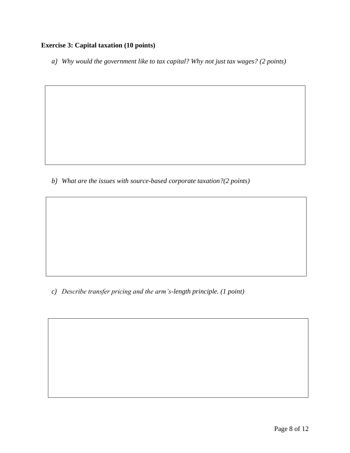### **Exercise 3: Capital taxation (10 points)**

*a) Why would the government like to tax capital? Why not just tax wages? (2 points)*

*b) What are the issues with source-based corporate taxation?(2 points)*

*c) Describe transfer pricing and the arm's-length principle. (1 point)*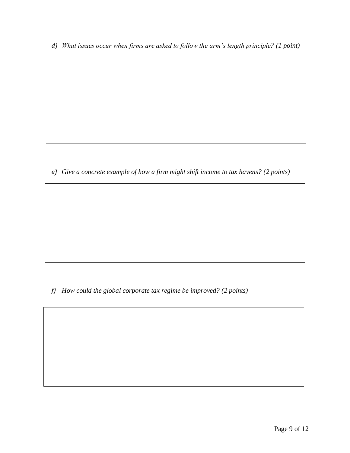*d) What issues occur when firms are asked to follow the arm's length principle? (1 point)*

*e) Give a concrete example of how a firm might shift income to tax havens? (2 points)*

*f) How could the global corporate tax regime be improved? (2 points)*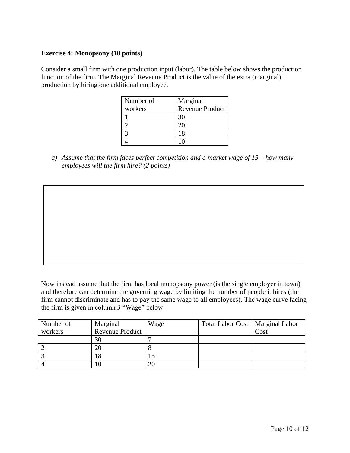#### **Exercise 4: Monopsony (10 points)**

Consider a small firm with one production input (labor). The table below shows the production function of the firm. The Marginal Revenue Product is the value of the extra (marginal) production by hiring one additional employee.

| Number of | Marginal               |
|-----------|------------------------|
| workers   | <b>Revenue Product</b> |
|           | 30                     |
|           | 20                     |
|           | 18                     |
|           |                        |

*a) Assume that the firm faces perfect competition and a market wage of 15 – how many employees will the firm hire? (2 points)*

Now instead assume that the firm has local monopsony power (is the single employer in town) and therefore can determine the governing wage by limiting the number of people it hires (the firm cannot discriminate and has to pay the same wage to all employees). The wage curve facing the firm is given in column 3 "Wage" below

| Number of | Marginal        | Wage | Total Labor Cost   Marginal Labor |      |
|-----------|-----------------|------|-----------------------------------|------|
| workers   | Revenue Product |      |                                   | Cost |
|           | 30              |      |                                   |      |
|           | 20              |      |                                   |      |
|           | 18              |      |                                   |      |
|           | 10              | 20   |                                   |      |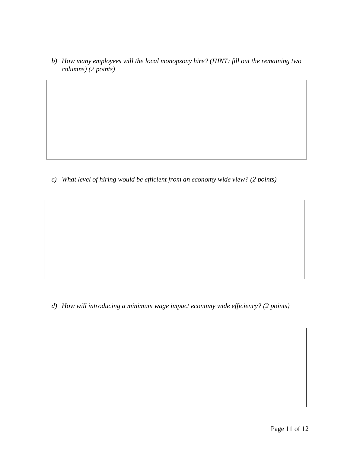*b) How many employees will the local monopsony hire? (HINT: fill out the remaining two columns) (2 points)*

*c) What level of hiring would be efficient from an economy wide view? (2 points)*

*d) How will introducing a minimum wage impact economy wide efficiency? (2 points)*